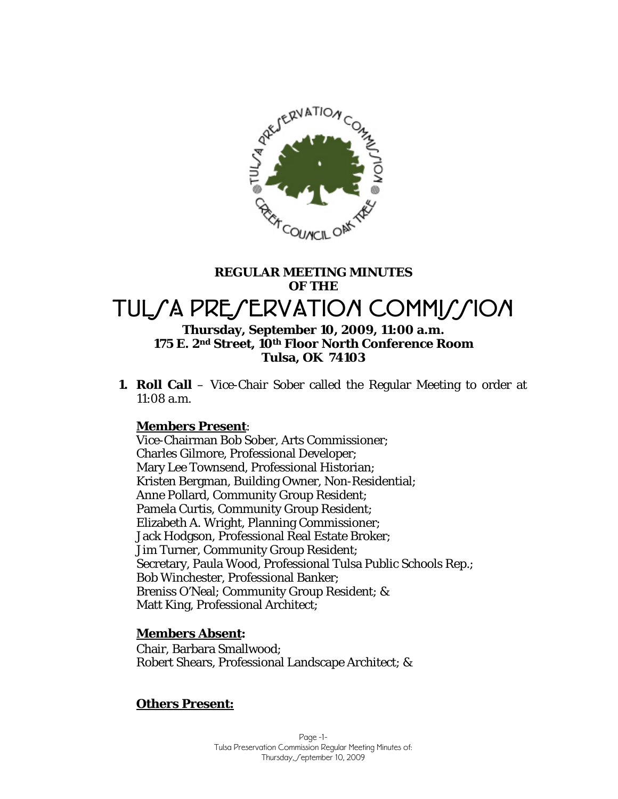

# **REGULAR MEETING MINUTES OF THE**  TUL/A PRE/ERVATION COMMI*LI*ION **Thursday, September 10, 2009, 11:00 a.m.**

# **175 E. 2nd Street, 10th Floor North Conference Room Tulsa, OK 74103**

**1. Roll Call** – Vice-Chair Sober called the Regular Meeting to order at 11:08 a.m.

## **Members Present**:

Vice-Chairman Bob Sober, Arts Commissioner; Charles Gilmore, Professional Developer; Mary Lee Townsend, Professional Historian; Kristen Bergman, Building Owner, Non-Residential; Anne Pollard, Community Group Resident; Pamela Curtis, Community Group Resident; Elizabeth A. Wright, Planning Commissioner; Jack Hodgson, Professional Real Estate Broker; Jim Turner, Community Group Resident; Secretary, Paula Wood, Professional Tulsa Public Schools Rep.; Bob Winchester, Professional Banker; Breniss O'Neal; Community Group Resident; & Matt King, Professional Architect;

## **Members Absent:**

Chair, Barbara Smallwood; Robert Shears, Professional Landscape Architect; &

## **Others Present:**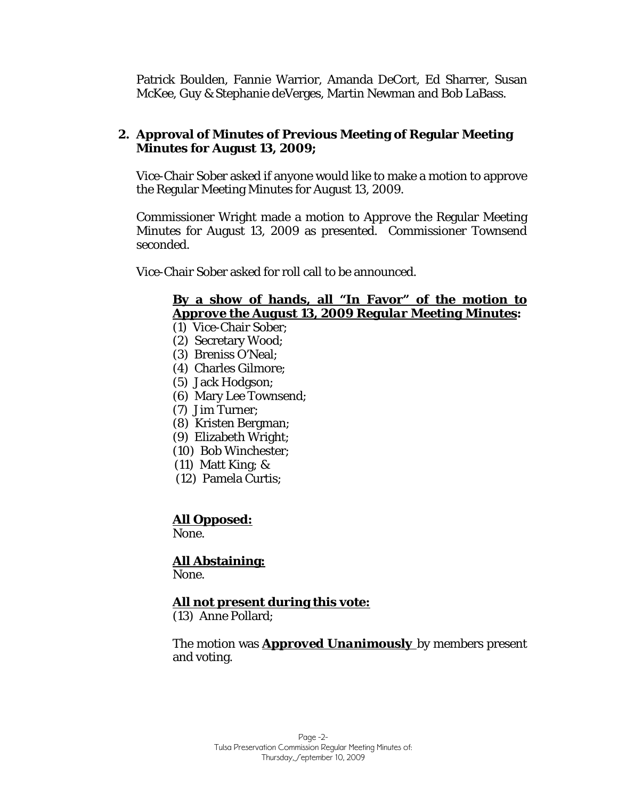Patrick Boulden, Fannie Warrior, Amanda DeCort, Ed Sharrer, Susan McKee, Guy & Stephanie deVerges, Martin Newman and Bob LaBass.

## **2. Approval of Minutes of Previous Meeting of Regular Meeting Minutes for August 13, 2009;**

Vice-Chair Sober asked if anyone would like to make a motion to approve the Regular Meeting Minutes for August 13, 2009.

Commissioner Wright made a motion to *Approve* the Regular Meeting Minutes for August 13, 2009 as presented. Commissioner Townsend seconded.

Vice-Chair Sober asked for roll call to be announced.

## **By a show of hands, all "In Favor" of the motion to**  *Approve the August 13, 2009 Regular Meeting Minutes***:**

- (1) Vice-Chair Sober;
- (2) Secretary Wood;
- (3) Breniss O'Neal;
- (4) Charles Gilmore;
- (5) Jack Hodgson;
- (6) Mary Lee Townsend;
- (7) Jim Turner;
- (8) Kristen Bergman;
- (9) Elizabeth Wright;
- (10) Bob Winchester;
- (11) Matt King; &
- (12) Pamela Curtis;

## **All Opposed:**

None.

 **All Abstaining:** None.

## **All not present during this vote:**

(13) Anne Pollard;

The motion was *Approved Unanimously* by members present and voting.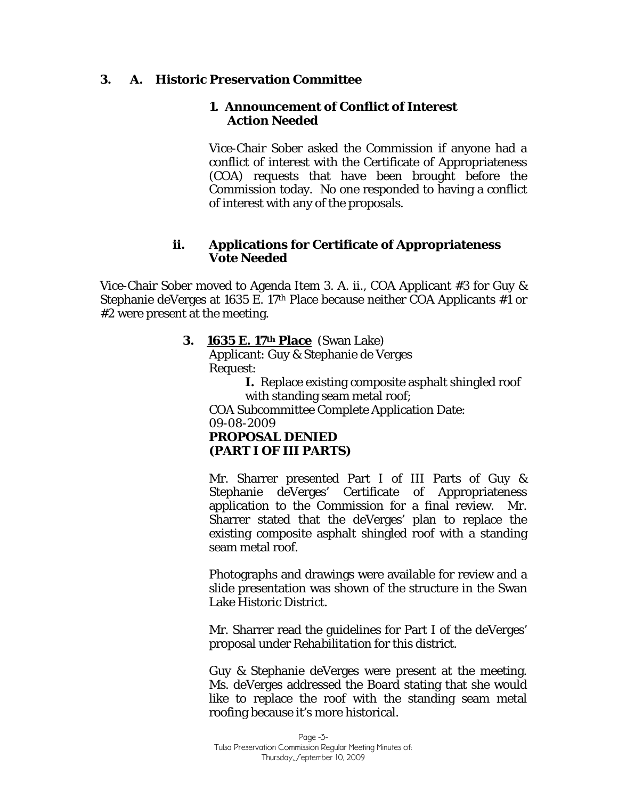## **3. A. Historic Preservation Committee**

## **1. Announcement of Conflict of Interest** *Action Needed*

Vice-Chair Sober asked the Commission if anyone had a conflict of interest with the Certificate of Appropriateness (COA) requests that have been brought before the Commission today. No one responded to having a conflict of interest with any of the proposals.

## **ii. Applications for Certificate of Appropriateness**  *Vote Needed*

Vice-Chair Sober moved to Agenda Item 3. A. ii., COA Applicant #3 for Guy & Stephanie deVerges at 1635 E. 17th Place because neither COA Applicants #1 or #2 were present at the meeting.

## **3. 1635 E. 17th Place** (Swan Lake)

Applicant: Guy & Stephanie de Verges Request:

> **I.** Replace existing composite asphalt shingled roof with standing seam metal roof;

COA Subcommittee Complete Application Date: 09-08-2009 *PROPOSAL DENIED (PART I OF III PARTS)* 

Mr. Sharrer presented Part I of III Parts of Guy & Stephanie deVerges' Certificate of Appropriateness application to the Commission for a final review. Mr. Sharrer stated that the deVerges' plan to replace the existing composite asphalt shingled roof with a standing seam metal roof.

Photographs and drawings were available for review and a slide presentation was shown of the structure in the Swan Lake Historic District.

Mr. Sharrer read the guidelines for Part I of the deVerges' proposal under *Rehabilitation* for this district.

Guy & Stephanie deVerges were present at the meeting. Ms. deVerges addressed the Board stating that she would like to replace the roof with the standing seam metal roofing because it's more historical.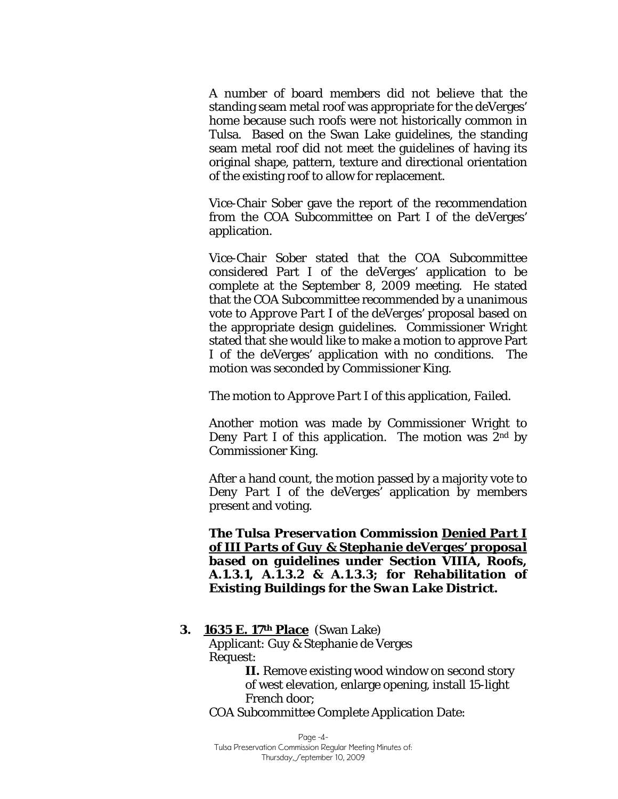A number of board members did not believe that the standing seam metal roof was appropriate for the deVerges' home because such roofs were not historically common in Tulsa. Based on the Swan Lake guidelines, the standing seam metal roof did not meet the guidelines of having its original shape, pattern, texture and directional orientation of the existing roof to allow for replacement.

Vice-Chair Sober gave the report of the recommendation from the COA Subcommittee on Part I of the deVerges' application.

Vice-Chair Sober stated that the COA Subcommittee considered Part I of the deVerges' application to be complete at the September 8, 2009 meeting. He stated that the COA Subcommittee recommended by a unanimous vote to *Approve Part I of the deVerges'* proposal based on the appropriate design guidelines. Commissioner Wright stated that she would like to make a motion to approve Part I of the deVerges' application with no conditions. The motion was seconded by Commissioner King.

The motion to *Approve Part I* of this application, *Failed.* 

Another motion was made by Commissioner Wright to *Deny Part I* of this application. The motion was 2<sup>nd</sup> by Commissioner King.

After a hand count, the motion passed by a majority vote to *Deny Part I* of the deVerges' application by members present and voting.

*The Tulsa Preservation Commission Denied Part I of III Parts of Guy & Stephanie deVerges' proposal based on guidelines under Section VIIIA, Roofs, A.1.3.1, A.1.3.2 & A.1.3.3; for Rehabilitation of Existing Buildings for the Swan Lake District.* 

 **3. 1635 E. 17th Place** (Swan Lake) Applicant: Guy & Stephanie de Verges Request: **II.** Remove existing wood window on second story

of west elevation, enlarge opening, install 15-light French door;

COA Subcommittee Complete Application Date:

Page -4-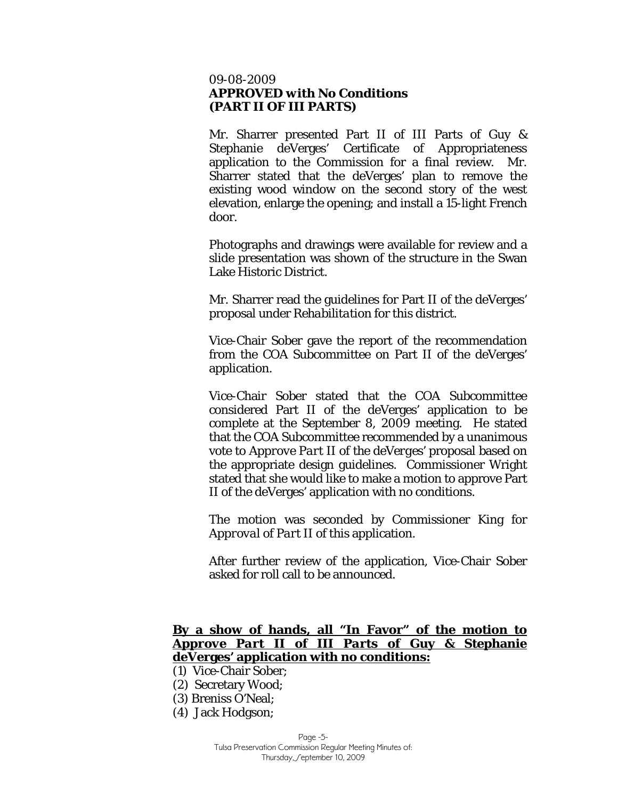### 09-08-2009 *APPROVED with No Conditions (PART II OF III PARTS)*

Mr. Sharrer presented Part II of III Parts of Guy & Stephanie deVerges' Certificate of Appropriateness application to the Commission for a final review. Mr. Sharrer stated that the deVerges' plan to remove the existing wood window on the second story of the west elevation, enlarge the opening; and install a 15-light French door.

Photographs and drawings were available for review and a slide presentation was shown of the structure in the Swan Lake Historic District.

Mr. Sharrer read the guidelines for Part II of the deVerges' proposal under *Rehabilitation* for this district.

Vice-Chair Sober gave the report of the recommendation from the COA Subcommittee on Part II of the deVerges' application.

Vice-Chair Sober stated that the COA Subcommittee considered Part II of the deVerges' application to be complete at the September 8, 2009 meeting. He stated that the COA Subcommittee recommended by a unanimous vote to *Approve Part II of the deVerges'* proposal based on the appropriate design guidelines. Commissioner Wright stated that she would like to make a motion to approve Part II of the deVerges' application with no conditions.

The motion was seconded by Commissioner King for *Approval of Part II* of this application.

After further review of the application, Vice-Chair Sober asked for roll call to be announced.

## **By a show of hands, all "In Favor" of the motion to**  *Approve Part II of III Parts* **of Guy & Stephanie deVerges' application with no conditions:**

- (1) Vice-Chair Sober;
- (2) Secretary Wood;
- (3) Breniss O'Neal;
- (4) Jack Hodgson;

Page -5-

Tulsa Preservation Commission Regular Meeting Minutes of: Thursday, Ceptember 10, 2009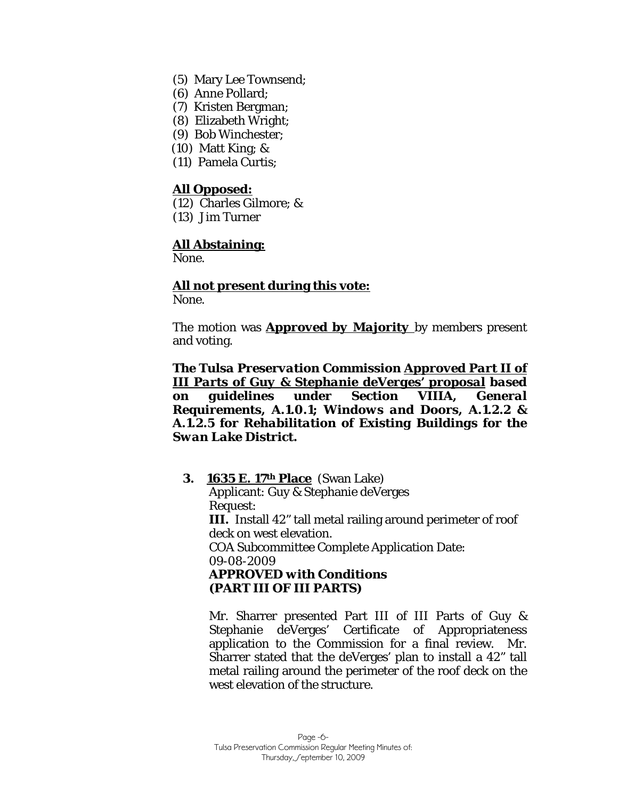- (5) Mary Lee Townsend;
- (6) Anne Pollard;
- (7) Kristen Bergman;
- (8) Elizabeth Wright;
- (9) Bob Winchester;
- (10) Matt King; &
- (11) Pamela Curtis;

### **All Opposed:**

- (12) Charles Gilmore; &
- (13) Jim Turner

### **All Abstaining:**

None.

## **All not present during this vote:**

None.

The motion was *Approved by Majority* by members present and voting.

*The Tulsa Preservation Commission Approved Part II of III Parts of Guy & Stephanie deVerges' proposal based on guidelines under Section VIIIA, General Requirements, A.1.0.1; Windows and Doors, A.1.2.2 & A.1.2.5 for Rehabilitation of Existing Buildings for the Swan Lake District.* 

 **3. 1635 E. 17th Place** (Swan Lake) Applicant: Guy & Stephanie deVerges Request: **III.** Install 42" tall metal railing around perimeter of roof deck on west elevation. COA Subcommittee Complete Application Date: 09-08-2009 *APPROVED with Conditions (PART III OF III PARTS)* 

Mr. Sharrer presented Part III of III Parts of Guy & Stephanie deVerges' Certificate of Appropriateness application to the Commission for a final review. Mr. Sharrer stated that the deVerges' plan to install a 42" tall metal railing around the perimeter of the roof deck on the west elevation of the structure.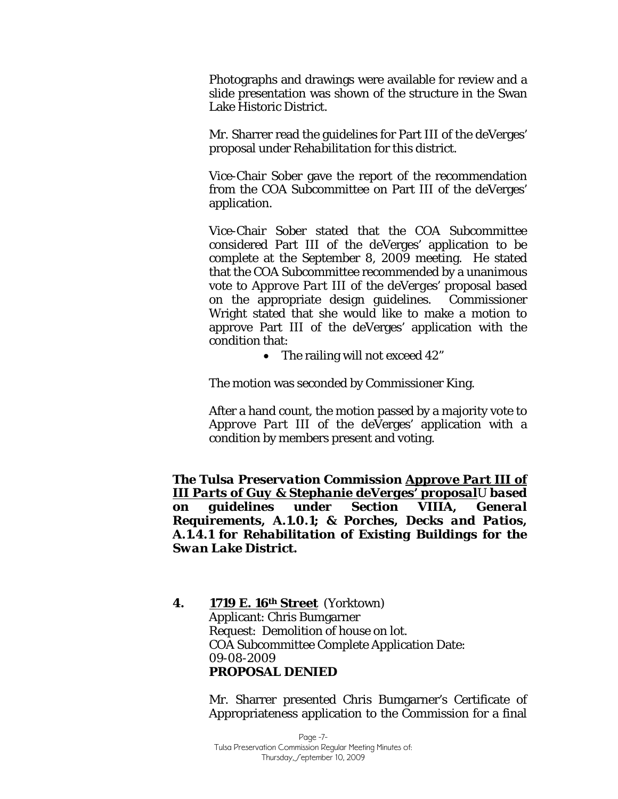Photographs and drawings were available for review and a slide presentation was shown of the structure in the Swan Lake Historic District.

Mr. Sharrer read the guidelines for Part III of the deVerges' proposal under *Rehabilitation* for this district.

Vice-Chair Sober gave the report of the recommendation from the COA Subcommittee on Part III of the deVerges' application.

Vice-Chair Sober stated that the COA Subcommittee considered Part III of the deVerges' application to be complete at the September 8, 2009 meeting. He stated that the COA Subcommittee recommended by a unanimous vote to *Approve Part III of the deVerges'* proposal based on the appropriate design guidelines. Commissioner Wright stated that she would like to make a motion to approve Part III of the deVerges' application with the condition that:

• The railing will not exceed 42"

The motion was seconded by Commissioner King.

After a hand count, the motion passed by a majority vote to *Approve Part III* of the deVerges' application with a condition by members present and voting.

*The Tulsa Preservation Commission Approve Part III of III Parts of Guy & Stephanie deVerges' proposal*U *based on guidelines under Section VIIIA, General Requirements, A.1.0.1; & Porches, Decks and Patios, A.1.4.1 for Rehabilitation of Existing Buildings for the Swan Lake District.* 

**4. 1719 E. 16th Street** (Yorktown) Applicant: Chris Bumgarner Request: Demolition of house on lot. COA Subcommittee Complete Application Date: 09-08-2009 *PROPOSAL DENIED* 

> Mr. Sharrer presented Chris Bumgarner's Certificate of Appropriateness application to the Commission for a final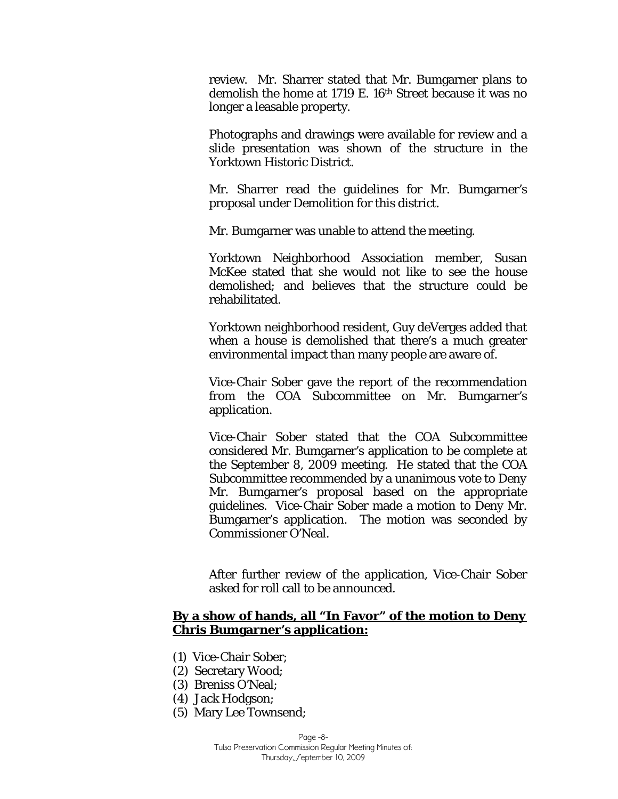review. Mr. Sharrer stated that Mr. Bumgarner plans to demolish the home at 1719 E. 16<sup>th</sup> Street because it was no longer a leasable property.

Photographs and drawings were available for review and a slide presentation was shown of the structure in the Yorktown Historic District.

Mr. Sharrer read the guidelines for Mr. Bumgarner's proposal under *Demolition* for this district.

Mr. Bumgarner was unable to attend the meeting.

Yorktown Neighborhood Association member, Susan McKee stated that she would not like to see the house demolished; and believes that the structure could be rehabilitated.

Yorktown neighborhood resident, Guy deVerges added that when a house is demolished that there's a much greater environmental impact than many people are aware of.

Vice-Chair Sober gave the report of the recommendation from the COA Subcommittee on Mr. Bumgarner's application.

Vice-Chair Sober stated that the COA Subcommittee considered Mr. Bumgarner's application to be complete at the September 8, 2009 meeting. He stated that the COA Subcommittee recommended by a unanimous vote to *Deny*  Mr. Bumgarner's proposal based on the appropriate guidelines. Vice-Chair Sober made a motion to Deny Mr. Bumgarner's application. The motion was seconded by Commissioner O'Neal.

After further review of the application, Vice-Chair Sober asked for roll call to be announced.

## **By a show of hands, all "In Favor" of the motion to** *Deny*  **Chris Bumgarner's application:**

- (1) Vice-Chair Sober;
- (2) Secretary Wood;
- (3) Breniss O'Neal;
- (4) Jack Hodgson;
- (5) Mary Lee Townsend;

Page -8-

Tulsa Preservation Commission Regular Meeting Minutes of: Thursday, Ceptember 10, 2009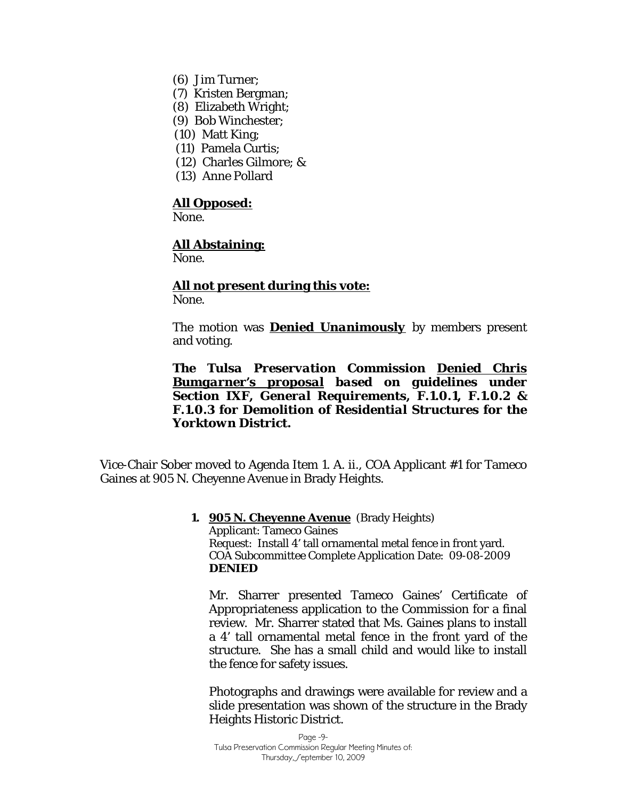- (6) Jim Turner;
- (7) Kristen Bergman;
- (8) Elizabeth Wright;
- (9) Bob Winchester;
- (10) Matt King;
- (11) Pamela Curtis;
- (12) Charles Gilmore; &
- (13) Anne Pollard

#### **All Opposed:**

None<sup>-</sup>

#### **All Abstaining:**

None.

## **All not present during this vote:**

None.

The motion was *Denied Unanimously* by members present and voting.

*The Tulsa Preservation Commission Denied Chris Bumgarner's proposal based on guidelines under Section IXF, General Requirements, F.1.0.1, F.1.0.2 & F.1.0.3 for Demolition of Residential Structures for the Yorktown District.* 

Vice-Chair Sober moved to Agenda Item 1. A. ii., COA Applicant #1 for Tameco Gaines at 905 N. Cheyenne Avenue in Brady Heights.

> **1. 905 N. Cheyenne Avenue** (Brady Heights) Applicant: Tameco Gaines Request: Install 4' tall ornamental metal fence in front yard. COA Subcommittee Complete Application Date: 09-08-2009 **DENIED**

Mr. Sharrer presented Tameco Gaines' Certificate of Appropriateness application to the Commission for a final review. Mr. Sharrer stated that Ms. Gaines plans to install a 4' tall ornamental metal fence in the front yard of the structure. She has a small child and would like to install the fence for safety issues.

Photographs and drawings were available for review and a slide presentation was shown of the structure in the Brady Heights Historic District.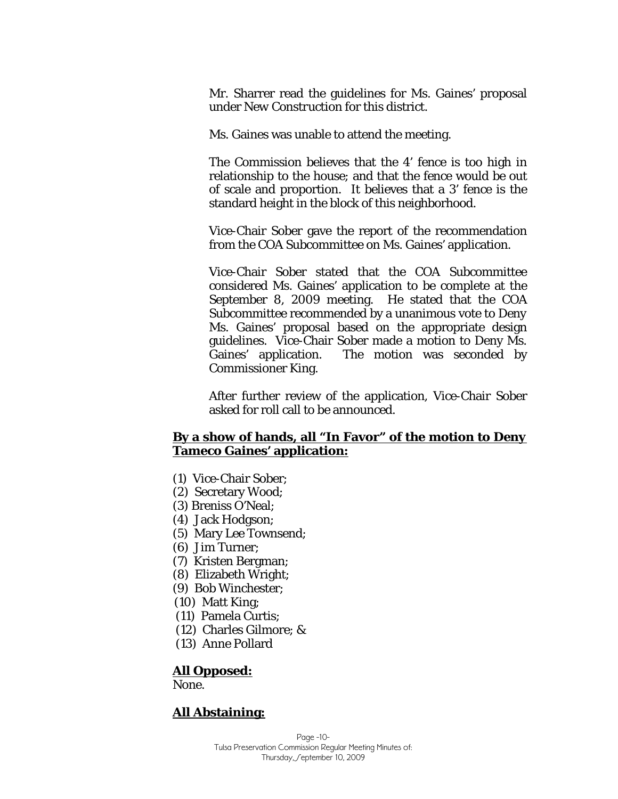Mr. Sharrer read the guidelines for Ms. Gaines' proposal under *New Construction* for this district.

Ms. Gaines was unable to attend the meeting.

The Commission believes that the 4' fence is too high in relationship to the house; and that the fence would be out of scale and proportion. It believes that a 3' fence is the standard height in the block of this neighborhood.

Vice-Chair Sober gave the report of the recommendation from the COA Subcommittee on Ms. Gaines' application.

Vice-Chair Sober stated that the COA Subcommittee considered Ms. Gaines' application to be complete at the September 8, 2009 meeting. He stated that the COA Subcommittee recommended by a unanimous vote to *Deny*  Ms. Gaines' proposal based on the appropriate design guidelines. Vice-Chair Sober made a motion to Deny Ms. Gaines' application. The motion was seconded by Commissioner King.

After further review of the application, Vice-Chair Sober asked for roll call to be announced.

## **By a show of hands, all "In Favor" of the motion to** *Deny*  **Tameco Gaines' application:**

- (1) Vice-Chair Sober;
- (2) Secretary Wood;
- (3) Breniss O'Neal;
- (4) Jack Hodgson;
- (5) Mary Lee Townsend;
- (6) Jim Turner;
- (7) Kristen Bergman;
- (8) Elizabeth Wright;
- (9) Bob Winchester;
- (10) Matt King;
- (11) Pamela Curtis;
- (12) Charles Gilmore; &
- (13) Anne Pollard

### **All Opposed:**

None.

## **All Abstaining:**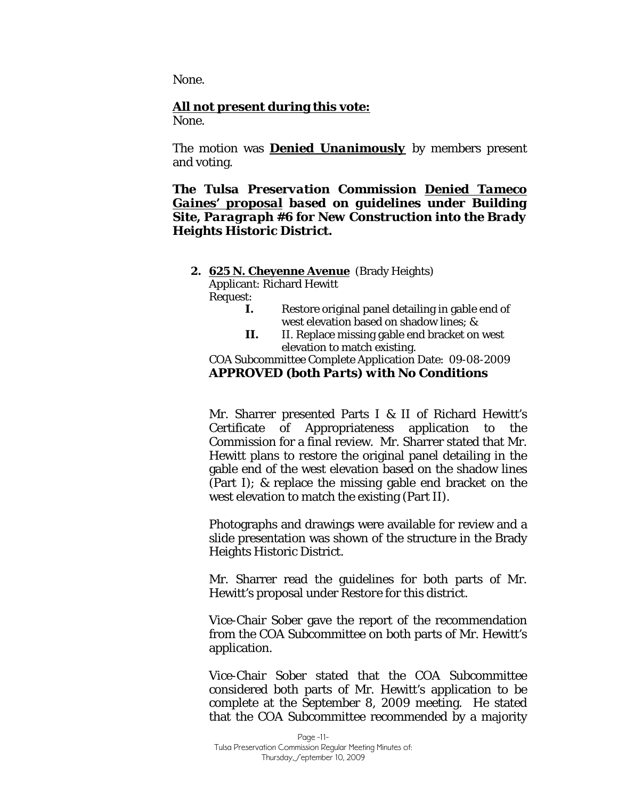None.

#### **All not present during this vote:**

None.

The motion was *Denied Unanimously* by members present and voting.

*The Tulsa Preservation Commission Denied Tameco Gaines' proposal based on guidelines under Building Site, Paragraph #6 for New Construction into the Brady Heights Historic District.* 

#### **2. 625 N. Cheyenne Avenue** (Brady Heights)

Applicant: Richard Hewitt

Request:

- **I.** Restore original panel detailing in gable end of west elevation based on shadow lines; &
- **II.** II. Replace missing gable end bracket on west elevation to match existing.

COA Subcommittee Complete Application Date: 09-08-2009 *APPROVED (both Parts) with No Conditions* 

Mr. Sharrer presented Parts I & II of Richard Hewitt's Certificate of Appropriateness application to the Commission for a final review. Mr. Sharrer stated that Mr. Hewitt plans to restore the original panel detailing in the gable end of the west elevation based on the shadow lines (Part I); & replace the missing gable end bracket on the west elevation to match the existing (Part II).

Photographs and drawings were available for review and a slide presentation was shown of the structure in the Brady Heights Historic District.

Mr. Sharrer read the guidelines for both parts of Mr. Hewitt's proposal under *Restore* for this district.

Vice-Chair Sober gave the report of the recommendation from the COA Subcommittee on both parts of Mr. Hewitt's application.

Vice-Chair Sober stated that the COA Subcommittee considered both parts of Mr. Hewitt's application to be complete at the September 8, 2009 meeting. He stated that the COA Subcommittee recommended by a majority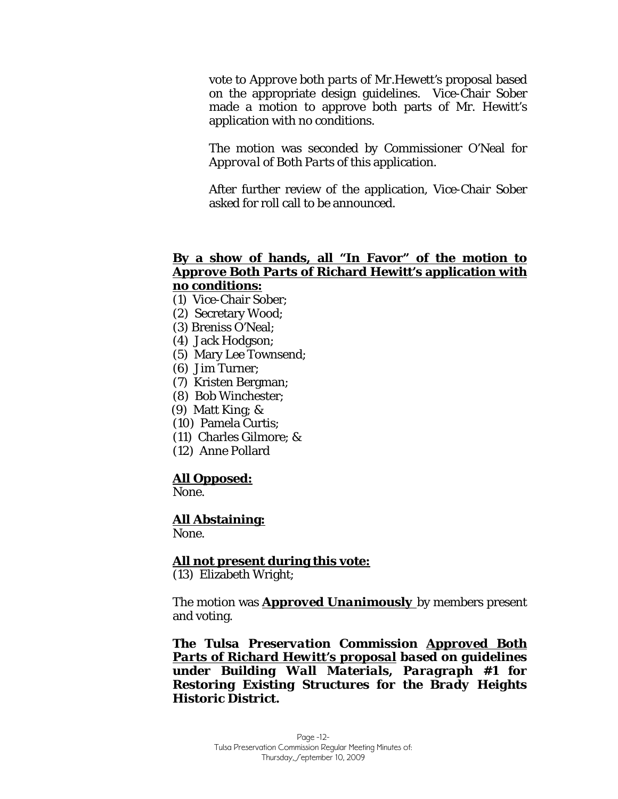vote to *Approve both parts of Mr.Hewett's* proposal based on the appropriate design guidelines. Vice-Chair Sober made a motion to approve both parts of Mr. Hewitt's application with no conditions.

The motion was seconded by Commissioner O'Neal for *Approval of Both Parts* of this application.

After further review of the application, Vice-Chair Sober asked for roll call to be announced.

### **By a show of hands, all "In Favor" of the motion to**  *Approve Both Parts* **of Richard Hewitt's application with no conditions:**

- (1) Vice-Chair Sober;
- (2) Secretary Wood;
- (3) Breniss O'Neal;
- (4) Jack Hodgson;
- (5) Mary Lee Townsend;
- (6) Jim Turner;
- (7) Kristen Bergman;
- (8) Bob Winchester;
- (9) Matt King; &
- (10) Pamela Curtis;
- (11) Charles Gilmore; &
- (12) Anne Pollard

### **All Opposed:**

None.

### **All Abstaining:**

None.

#### **All not present during this vote:**

(13) Elizabeth Wright;

The motion was *Approved Unanimously* by members present and voting.

*The Tulsa Preservation Commission Approved Both Parts of Richard Hewitt's proposal based on guidelines under Building Wall Materials, Paragraph #1 for Restoring Existing Structures for the Brady Heights Historic District.*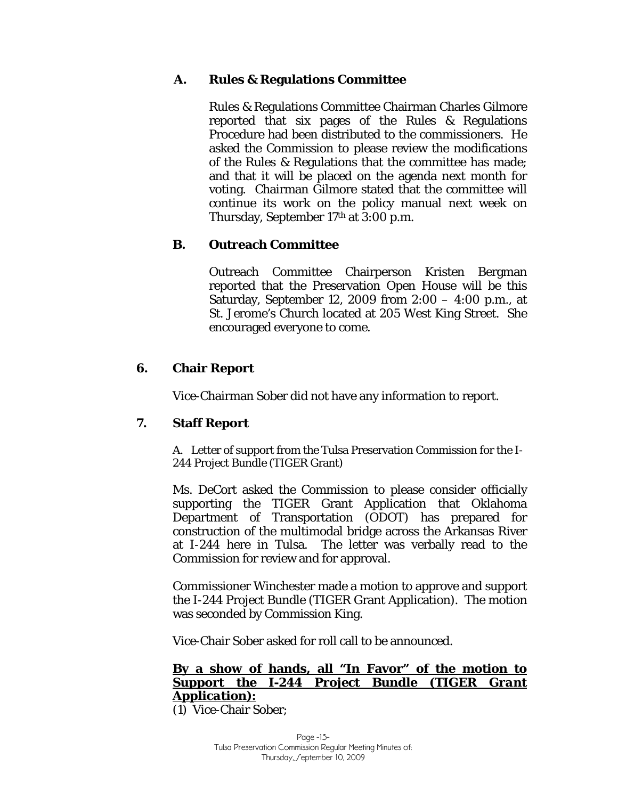## **A. Rules & Regulations Committee**

Rules & Regulations Committee Chairman Charles Gilmore reported that six pages of the Rules & Regulations Procedure had been distributed to the commissioners. He asked the Commission to please review the modifications of the Rules & Regulations that the committee has made; and that it will be placed on the agenda next month for voting. Chairman Gilmore stated that the committee will continue its work on the policy manual next week on Thursday, September 17th at 3:00 p.m.

## **B. Outreach Committee**

Outreach Committee Chairperson Kristen Bergman reported that the Preservation Open House will be this Saturday, September 12, 2009 from 2:00 – 4:00 p.m., at St. Jerome's Church located at 205 West King Street. She encouraged everyone to come.

## **6. Chair Report**

Vice-Chairman Sober did not have any information to report.

## **7. Staff Report**

A. Letter of support from the Tulsa Preservation Commission for the I-244 Project Bundle (TIGER Grant)

Ms. DeCort asked the Commission to please consider officially supporting the TIGER Grant Application that Oklahoma Department of Transportation (ODOT) has prepared for construction of the multimodal bridge across the Arkansas River at I-244 here in Tulsa. The letter was verbally read to the Commission for review and for approval.

Commissioner Winchester made a motion to approve and support the I-244 Project Bundle (TIGER Grant Application). The motion was seconded by Commission King.

Vice-Chair Sober asked for roll call to be announced.

## **By a show of hands, all "In Favor" of the motion to**  *Support the I-244 Project Bundle (TIGER Grant Application)***:**

(1) Vice-Chair Sober;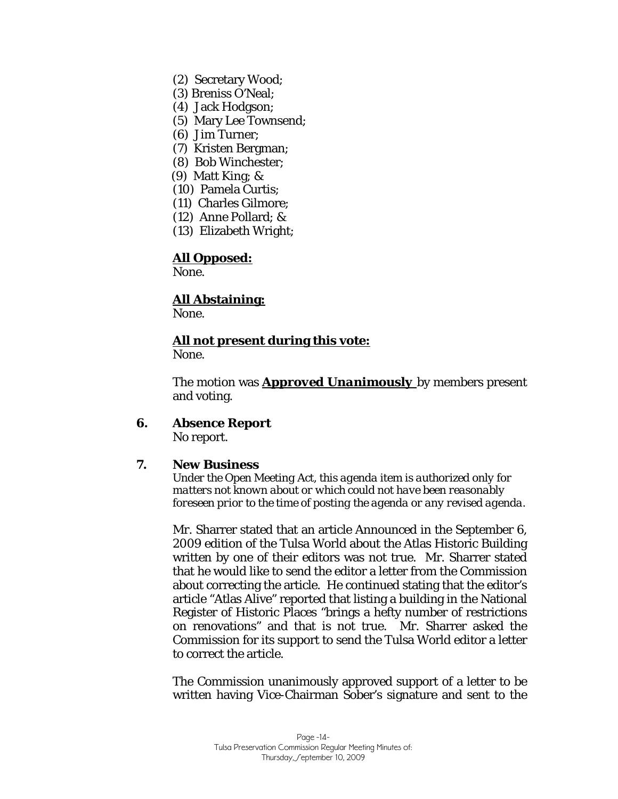- (2) Secretary Wood;
- (3) Breniss O'Neal;
- (4) Jack Hodgson;
- (5) Mary Lee Townsend;
- (6) Jim Turner;
- (7) Kristen Bergman;
- (8) Bob Winchester;
- (9) Matt King; &
- (10) Pamela Curtis;
- (11) Charles Gilmore;
- (12) Anne Pollard; &
- (13) Elizabeth Wright;

### **All Opposed:**

None.

## **All Abstaining:**

None.

## **All not present during this vote:**

None.

The motion was *Approved Unanimously* by members present and voting.

# **6. Absence Report**

No report.

### **7. New Business**

*Under the Open Meeting Act, this agenda item is authorized only for matters not known about or which could not have been reasonably foreseen prior to the time of posting the agenda or any revised agenda.* 

Mr. Sharrer stated that an article Announced in the September 6, 2009 edition of the Tulsa World about the Atlas Historic Building written by one of their editors was not true. Mr. Sharrer stated that he would like to send the editor a letter from the Commission about correcting the article. He continued stating that the editor's article "Atlas Alive" reported that listing a building in the National Register of Historic Places "brings a hefty number of restrictions on renovations" and that is not true. Mr. Sharrer asked the Commission for its support to send the Tulsa World editor a letter to correct the article.

The Commission unanimously approved support of a letter to be written having Vice-Chairman Sober's signature and sent to the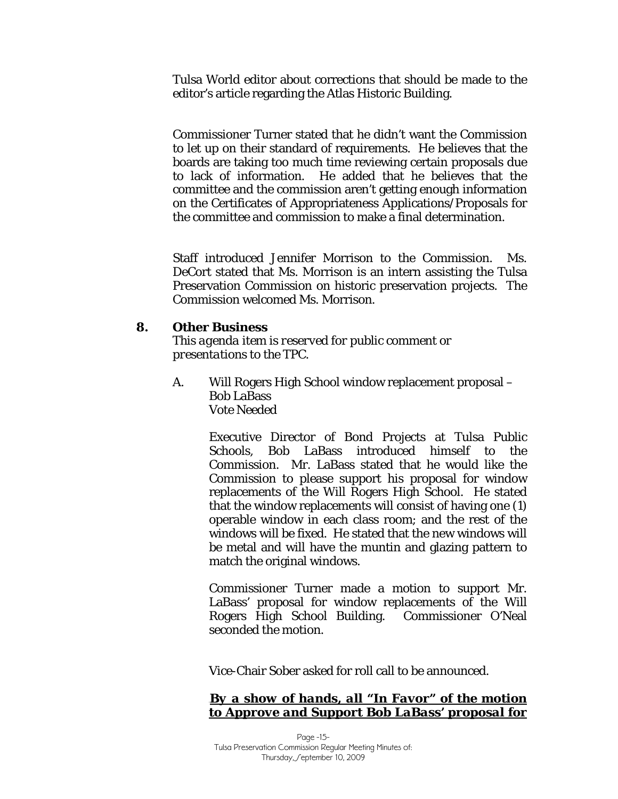Tulsa World editor about corrections that should be made to the editor's article regarding the Atlas Historic Building.

Commissioner Turner stated that he didn't want the Commission to let up on their standard of requirements. He believes that the boards are taking too much time reviewing certain proposals due to lack of information. He added that he believes that the committee and the commission aren't getting enough information on the Certificates of Appropriateness Applications/Proposals for the committee and commission to make a final determination.

Staff introduced Jennifer Morrison to the Commission. Ms. DeCort stated that Ms. Morrison is an intern assisting the Tulsa Preservation Commission on historic preservation projects. The Commission welcomed Ms. Morrison.

### **8. Other Business**

*This agenda item is reserved for public comment or presentations to the TPC.* 

A. Will Rogers High School window replacement proposal – Bob LaBass *Vote Needed* 

> Executive Director of Bond Projects at Tulsa Public Schools, Bob LaBass introduced himself to the Commission. Mr. LaBass stated that he would like the Commission to please support his proposal for window replacements of the Will Rogers High School. He stated that the window replacements will consist of having one (1) operable window in each class room; and the rest of the windows will be fixed. He stated that the new windows will be metal and will have the muntin and glazing pattern to match the original windows.

> Commissioner Turner made a motion to support Mr. LaBass' proposal for window replacements of the Will Rogers High School Building. Commissioner O'Neal seconded the motion.

Vice-Chair Sober asked for roll call to be announced.

## *By a show of hands, all "In Favor" of the motion to Approve and Support Bob LaBass' proposal for*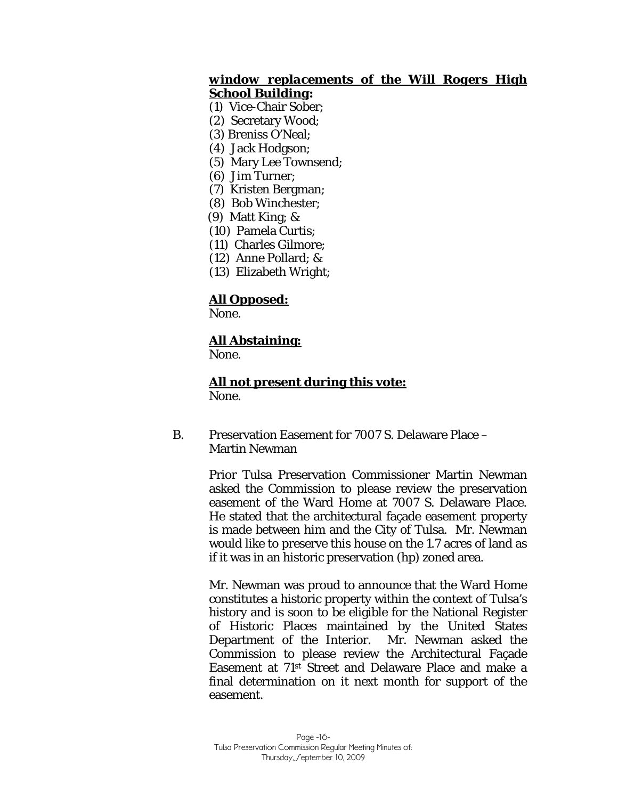## *window replacements of the Will Rogers High School Building:*

- (1) Vice-Chair Sober;
- (2) Secretary Wood;
- (3) Breniss O'Neal;
- (4) Jack Hodgson;
- (5) Mary Lee Townsend;
- (6) Jim Turner;
- (7) Kristen Bergman;
- (8) Bob Winchester;
- (9) Matt King; &
- (10) Pamela Curtis;
- (11) Charles Gilmore;
- (12) Anne Pollard; &
- (13) Elizabeth Wright;

## **All Opposed:**

None.

## **All Abstaining:**

None.

# **All not present during this vote:**

None.

B. Preservation Easement for 7007 S. Delaware Place – Martin Newman

> Prior Tulsa Preservation Commissioner Martin Newman asked the Commission to please review the preservation easement of the Ward Home at 7007 S. Delaware Place. He stated that the architectural façade easement property is made between him and the City of Tulsa. Mr. Newman would like to preserve this house on the 1.7 acres of land as if it was in an historic preservation (hp) zoned area.

> Mr. Newman was proud to announce that the Ward Home constitutes a historic property within the context of Tulsa's history and is soon to be eligible for the National Register of Historic Places maintained by the United States Department of the Interior. Mr. Newman asked the Commission to please review the Architectural Façade Easement at 71st Street and Delaware Place and make a final determination on it next month for support of the easement.